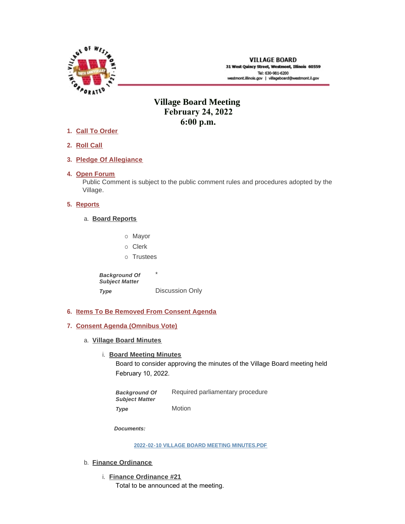

# **Village Board Meeting February 24, 2022 6:00 p.m.**

- **Call To Order 1.**
- **Roll Call 2.**
- **Pledge Of Allegiance 3.**
- 4. Open Forum

Public Comment is subject to the public comment rules and procedures adopted by the Village.

# **5.** Reports

- **Board Reports** a.
	- o Mayor
	- o Clerk
	- o Trustees

\* Discussion Only *Background Of Subject Matter Type* 

- **Items To Be Removed From Consent Agenda 6.**
- **Consent Agenda (Omnibus Vote) 7.**
	- **Village Board Minutes** a.
		- **Board Meeting Minutes**

Board to consider approving the minutes of the Village Board meeting held February 10, 2022.

Required parliamentary procedure Motion *Background Of Subject Matter Type* 

*Documents:*

**[2022-02-10 VILLAGE BOARD MEETING MINUTES.PDF](https://westmont.illinois.gov/AgendaCenter/ViewFile/Item/8504?fileID=12368)**

- b. **Finance Ordinance** 
	- **Finance Ordinance #21** i. Total to be announced at the meeting.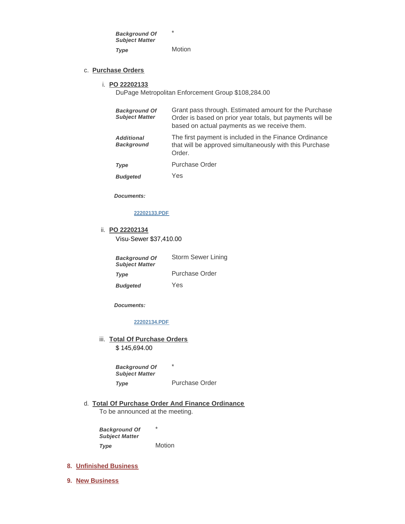\* Motion *Background Of Subject Matter Type* 

### **Purchase Orders** c.

#### **PO 22202133** i.

DuPage Metropolitan Enforcement Group \$108,284.00

| <b>Background Of</b><br><b>Subject Matter</b> | Grant pass through. Estimated amount for the Purchase<br>Order is based on prior year totals, but payments will be<br>based on actual payments as we receive them. |
|-----------------------------------------------|--------------------------------------------------------------------------------------------------------------------------------------------------------------------|
| <b>Additional</b><br><b>Background</b>        | The first payment is included in the Finance Ordinance<br>that will be approved simultaneously with this Purchase<br>Order.                                        |
| Type                                          | <b>Purchase Order</b>                                                                                                                                              |
| <b>Budgeted</b>                               | Yes                                                                                                                                                                |

*Documents:*

#### **[22202133.PDF](https://westmont.illinois.gov/AgendaCenter/ViewFile/Item/8507?fileID=12371)**

**PO 22202134** ii. Visu-Sewer \$37,410.00

| <b>Background Of</b><br><b>Subject Matter</b> | Storm Sewer Lining |
|-----------------------------------------------|--------------------|
| <b>Type</b>                                   | Purchase Order     |
| <b>Budgeted</b>                               | Yes                |

*Documents:*

### **[22202134.PDF](https://westmont.illinois.gov/AgendaCenter/ViewFile/Item/8508?fileID=12372)**

iii. Total Of Purchase Orders

\$ 145,694.00

\* Purchase Order *Background Of Subject Matter Type* 

**Total Of Purchase Order And Finance Ordinance** d. To be announced at the meeting.

\* **Motion** *Background Of Subject Matter Type* 

#### **Unfinished Business 8.**

**New Business 9.**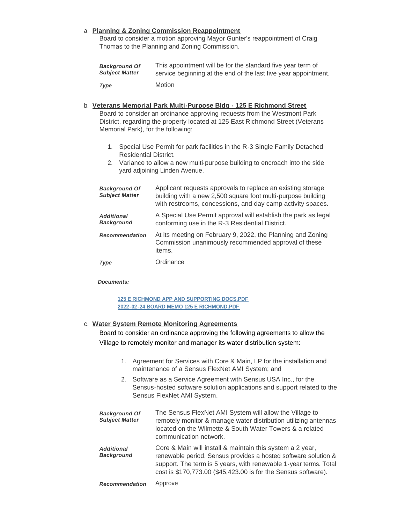# **Planning & Zoning Commission Reappointment** a.

Board to consider a motion approving Mayor Gunter's reappointment of Craig Thomas to the Planning and Zoning Commission.

| <b>Background Of</b>  | This appointment will be for the standard five year term of     |
|-----------------------|-----------------------------------------------------------------|
| <b>Subiect Matter</b> | service beginning at the end of the last five year appointment. |
| Type                  | <b>Motion</b>                                                   |

#### **Veterans Memorial Park Multi-Purpose Bldg - 125 E Richmond Street** b. Board to consider an ordinance approving requests from the Westmont Park

District, regarding the property located at 125 East Richmond Street (Veterans Memorial Park), for the following:

- 1. Special Use Permit for park facilities in the R-3 Single Family Detached Residential District.
- 2. Variance to allow a new multi-purpose building to encroach into the side yard adjoining Linden Avenue.

| <b>Background Of</b><br><b>Subject Matter</b> | Applicant requests approvals to replace an existing storage<br>building with a new 2,500 square foot multi-purpose building<br>with restrooms, concessions, and day camp activity spaces. |
|-----------------------------------------------|-------------------------------------------------------------------------------------------------------------------------------------------------------------------------------------------|
| <b>Additional</b><br><b>Background</b>        | A Special Use Permit approval will establish the park as legal<br>conforming use in the R-3 Residential District.                                                                         |
| <b>Recommendation</b>                         | At its meeting on February 9, 2022, the Planning and Zoning<br>Commission unanimously recommended approval of these<br>items.                                                             |
| Type                                          | Ordinance                                                                                                                                                                                 |

### *Documents:*

**[125 E RICHMOND APP AND SUPPORTING DOCS.PDF](https://westmont.illinois.gov/AgendaCenter/ViewFile/Item/8499?fileID=12295) [2022-02-24 BOARD MEMO 125 E RICHMOND.PDF](https://westmont.illinois.gov/AgendaCenter/ViewFile/Item/8499?fileID=12296)**

### **Water System Remote Monitoring Agreements** c.

Board to consider an ordinance approving the following agreements to allow the Village to remotely monitor and manager its water distribution system:

- 1. Agreement for Services with Core & Main, LP for the installation and maintenance of a Sensus FlexNet AMI System; and
- 2. Software as a Service Agreement with Sensus USA Inc., for the Sensus-hosted software solution applications and support related to the Sensus FlexNet AMI System.

| <b>Background Of</b><br><b>Subject Matter</b> | The Sensus FlexNet AMI System will allow the Village to<br>remotely monitor & manage water distribution utilizing antennas<br>located on the Wilmette & South Water Towers & a related<br>communication network.                                                  |
|-----------------------------------------------|-------------------------------------------------------------------------------------------------------------------------------------------------------------------------------------------------------------------------------------------------------------------|
| <b>Additional</b><br><b>Background</b>        | Core & Main will install & maintain this system a 2 year,<br>renewable period. Sensus provides a hosted software solution &<br>support. The term is 5 years, with renewable 1-year terms. Total<br>cost is \$170,773.00 (\$45,423.00 is for the Sensus software). |
| <b>Recommendation</b>                         | Approve                                                                                                                                                                                                                                                           |